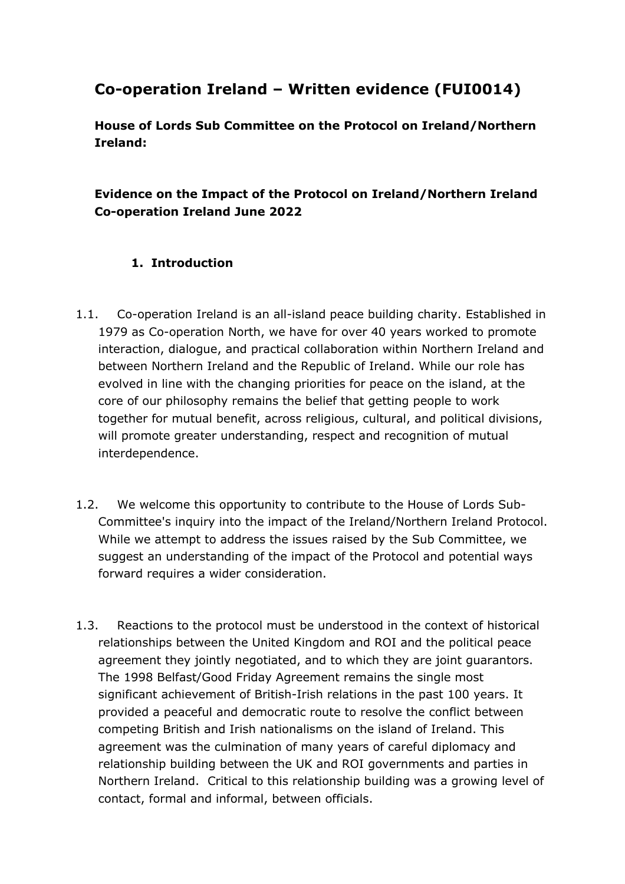## **Co-operation Ireland – Written evidence (FUI0014)**

**House of Lords Sub Committee on the Protocol on Ireland/Northern Ireland:**

## **Evidence on the Impact of the Protocol on Ireland/Northern Ireland Co-operation Ireland June 2022**

### **1. Introduction**

- 1.1. Co-operation Ireland is an all-island peace building charity. Established in 1979 as Co-operation North, we have for over 40 years worked to promote interaction, dialogue, and practical collaboration within Northern Ireland and between Northern Ireland and the Republic of Ireland. While our role has evolved in line with the changing priorities for peace on the island, at the core of our philosophy remains the belief that getting people to work together for mutual benefit, across religious, cultural, and political divisions, will promote greater understanding, respect and recognition of mutual interdependence.
- 1.2. We welcome this opportunity to contribute to the House of Lords Sub-Committee's inquiry into the impact of the Ireland/Northern Ireland Protocol. While we attempt to address the issues raised by the Sub Committee, we suggest an understanding of the impact of the Protocol and potential ways forward requires a wider consideration.
- 1.3. Reactions to the protocol must be understood in the context of historical relationships between the United Kingdom and ROI and the political peace agreement they jointly negotiated, and to which they are joint guarantors. The 1998 Belfast/Good Friday Agreement remains the single most significant achievement of British-Irish relations in the past 100 years. It provided a peaceful and democratic route to resolve the conflict between competing British and Irish nationalisms on the island of Ireland. This agreement was the culmination of many years of careful diplomacy and relationship building between the UK and ROI governments and parties in Northern Ireland. Critical to this relationship building was a growing level of contact, formal and informal, between officials.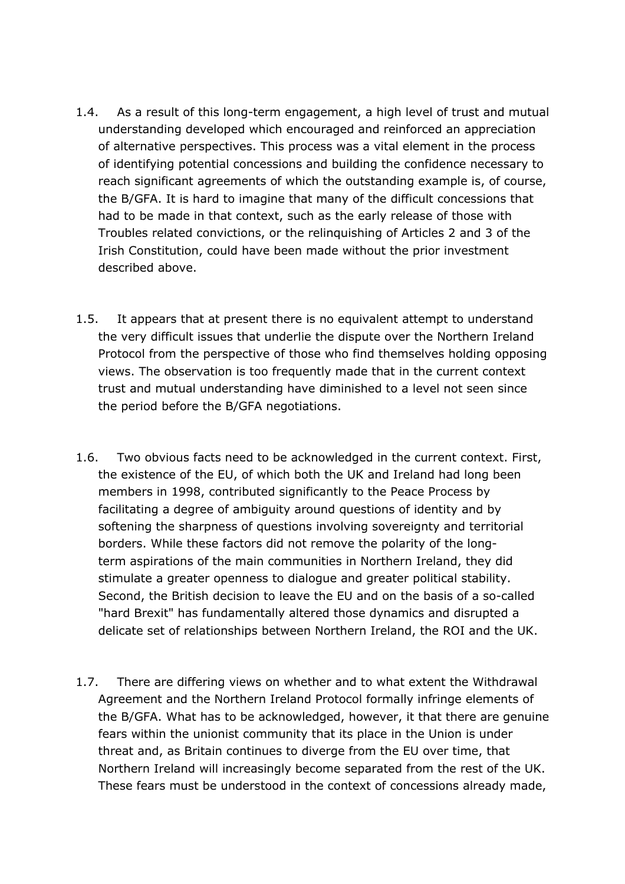- 1.4. As a result of this long-term engagement, a high level of trust and mutual understanding developed which encouraged and reinforced an appreciation of alternative perspectives. This process was a vital element in the process of identifying potential concessions and building the confidence necessary to reach significant agreements of which the outstanding example is, of course, the B/GFA. It is hard to imagine that many of the difficult concessions that had to be made in that context, such as the early release of those with Troubles related convictions, or the relinquishing of Articles 2 and 3 of the Irish Constitution, could have been made without the prior investment described above.
- 1.5. It appears that at present there is no equivalent attempt to understand the very difficult issues that underlie the dispute over the Northern Ireland Protocol from the perspective of those who find themselves holding opposing views. The observation is too frequently made that in the current context trust and mutual understanding have diminished to a level not seen since the period before the B/GFA negotiations.
- 1.6. Two obvious facts need to be acknowledged in the current context. First, the existence of the EU, of which both the UK and Ireland had long been members in 1998, contributed significantly to the Peace Process by facilitating a degree of ambiguity around questions of identity and by softening the sharpness of questions involving sovereignty and territorial borders. While these factors did not remove the polarity of the longterm aspirations of the main communities in Northern Ireland, they did stimulate a greater openness to dialogue and greater political stability. Second, the British decision to leave the EU and on the basis of a so-called "hard Brexit" has fundamentally altered those dynamics and disrupted a delicate set of relationships between Northern Ireland, the ROI and the UK.
- 1.7. There are differing views on whether and to what extent the Withdrawal Agreement and the Northern Ireland Protocol formally infringe elements of the B/GFA. What has to be acknowledged, however, it that there are genuine fears within the unionist community that its place in the Union is under threat and, as Britain continues to diverge from the EU over time, that Northern Ireland will increasingly become separated from the rest of the UK. These fears must be understood in the context of concessions already made,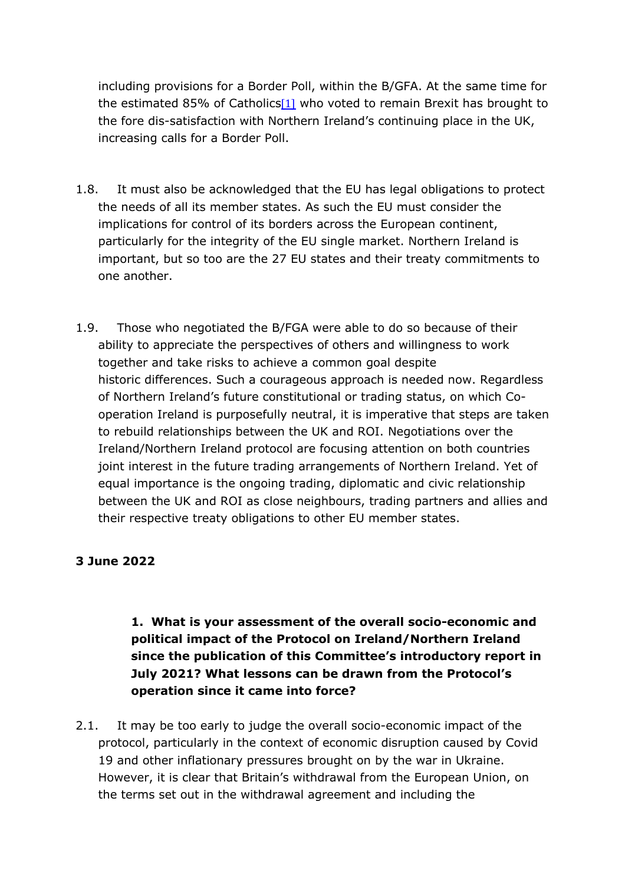including provisions for a Border Poll, within the B/GFA. At the same time for the estimated 85% of Catholics<sup>[1]</sup> who voted to remain Brexit has brought to the fore dis-satisfaction with Northern Ireland's continuing place in the UK, increasing calls for a Border Poll.

- 1.8. It must also be acknowledged that the EU has legal obligations to protect the needs of all its member states. As such the EU must consider the implications for control of its borders across the European continent, particularly for the integrity of the EU single market. Northern Ireland is important, but so too are the 27 EU states and their treaty commitments to one another.
- 1.9. Those who negotiated the B/FGA were able to do so because of their ability to appreciate the perspectives of others and willingness to work together and take risks to achieve a common goal despite historic differences. Such a courageous approach is needed now. Regardless of Northern Ireland's future constitutional or trading status, on which Cooperation Ireland is purposefully neutral, it is imperative that steps are taken to rebuild relationships between the UK and ROI. Negotiations over the Ireland/Northern Ireland protocol are focusing attention on both countries joint interest in the future trading arrangements of Northern Ireland. Yet of equal importance is the ongoing trading, diplomatic and civic relationship between the UK and ROI as close neighbours, trading partners and allies and their respective treaty obligations to other EU member states.

## **3 June 2022**

## **1. What is your assessment of the overall socio-economic and political impact of the Protocol on Ireland/Northern Ireland since the publication of this Committee's introductory report in July 2021? What lessons can be drawn from the Protocol's operation since it came into force?**

2.1. It may be too early to judge the overall socio-economic impact of the protocol, particularly in the context of economic disruption caused by Covid 19 and other inflationary pressures brought on by the war in Ukraine. However, it is clear that Britain's withdrawal from the European Union, on the terms set out in the withdrawal agreement and including the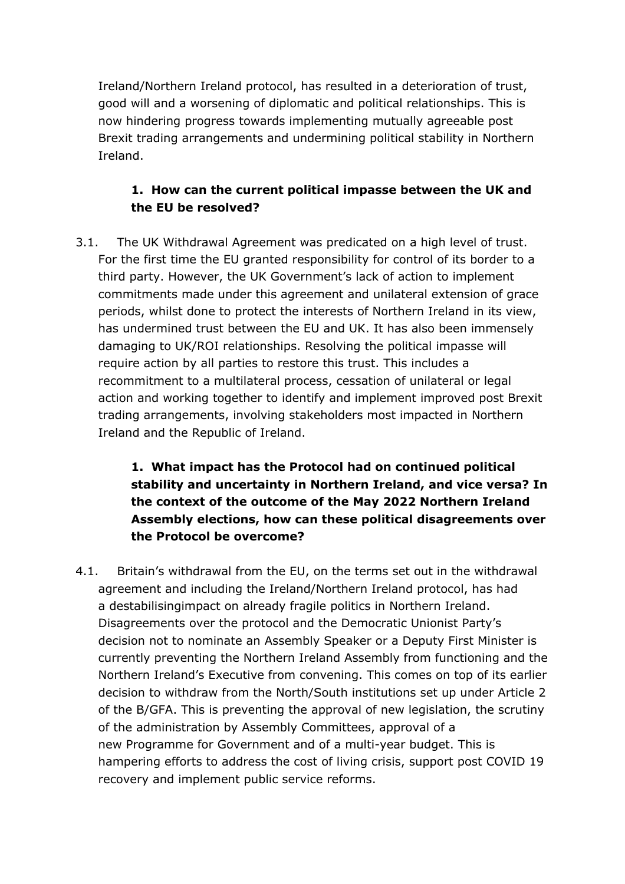Ireland/Northern Ireland protocol, has resulted in a deterioration of trust, good will and a worsening of diplomatic and political relationships. This is now hindering progress towards implementing mutually agreeable post Brexit trading arrangements and undermining political stability in Northern Ireland.

## **1. How can the current political impasse between the UK and the EU be resolved?**

3.1. The UK Withdrawal Agreement was predicated on a high level of trust. For the first time the EU granted responsibility for control of its border to a third party. However, the UK Government's lack of action to implement commitments made under this agreement and unilateral extension of grace periods, whilst done to protect the interests of Northern Ireland in its view, has undermined trust between the EU and UK. It has also been immensely damaging to UK/ROI relationships. Resolving the political impasse will require action by all parties to restore this trust. This includes a recommitment to a multilateral process, cessation of unilateral or legal action and working together to identify and implement improved post Brexit trading arrangements, involving stakeholders most impacted in Northern Ireland and the Republic of Ireland.

## **1. What impact has the Protocol had on continued political stability and uncertainty in Northern Ireland, and vice versa? In the context of the outcome of the May 2022 Northern Ireland Assembly elections, how can these political disagreements over the Protocol be overcome?**

4.1. Britain's withdrawal from the EU, on the terms set out in the withdrawal agreement and including the Ireland/Northern Ireland protocol, has had a destabilisingimpact on already fragile politics in Northern Ireland. Disagreements over the protocol and the Democratic Unionist Party's decision not to nominate an Assembly Speaker or a Deputy First Minister is currently preventing the Northern Ireland Assembly from functioning and the Northern Ireland's Executive from convening. This comes on top of its earlier decision to withdraw from the North/South institutions set up under Article 2 of the B/GFA. This is preventing the approval of new legislation, the scrutiny of the administration by Assembly Committees, approval of a new Programme for Government and of a multi-year budget. This is hampering efforts to address the cost of living crisis, support post COVID 19 recovery and implement public service reforms.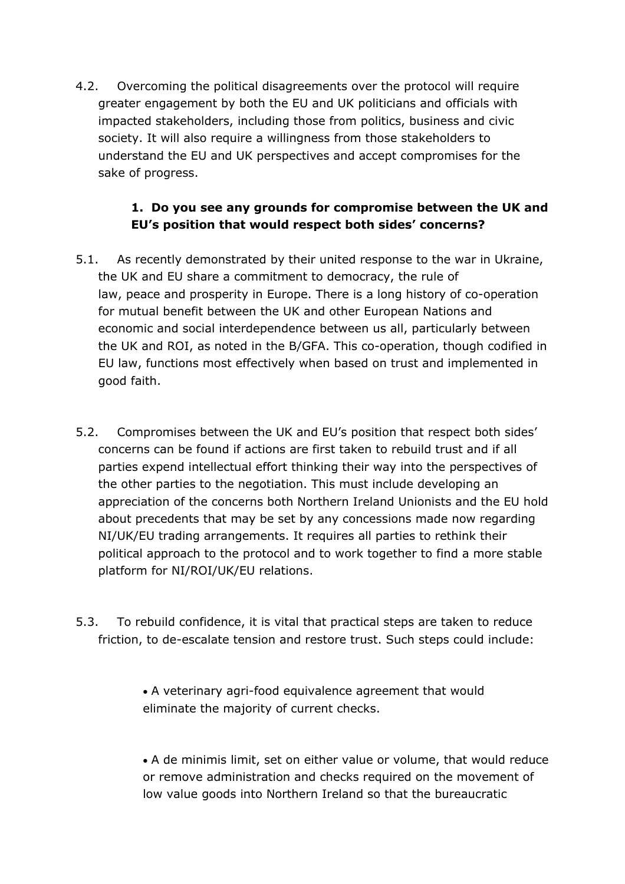4.2. Overcoming the political disagreements over the protocol will require greater engagement by both the EU and UK politicians and officials with impacted stakeholders, including those from politics, business and civic society. It will also require a willingness from those stakeholders to understand the EU and UK perspectives and accept compromises for the sake of progress.

### **1. Do you see any grounds for compromise between the UK and EU's position that would respect both sides' concerns?**

- 5.1. As recently demonstrated by their united response to the war in Ukraine, the UK and EU share a commitment to democracy, the rule of law, peace and prosperity in Europe. There is a long history of co-operation for mutual benefit between the UK and other European Nations and economic and social interdependence between us all, particularly between the UK and ROI, as noted in the B/GFA. This co-operation, though codified in EU law, functions most effectively when based on trust and implemented in good faith.
- 5.2. Compromises between the UK and EU's position that respect both sides' concerns can be found if actions are first taken to rebuild trust and if all parties expend intellectual effort thinking their way into the perspectives of the other parties to the negotiation. This must include developing an appreciation of the concerns both Northern Ireland Unionists and the EU hold about precedents that may be set by any concessions made now regarding NI/UK/EU trading arrangements. It requires all parties to rethink their political approach to the protocol and to work together to find a more stable platform for NI/ROI/UK/EU relations.
- 5.3. To rebuild confidence, it is vital that practical steps are taken to reduce friction, to de-escalate tension and restore trust. Such steps could include:

• A veterinary agri-food equivalence agreement that would eliminate the majority of current checks.

• A de minimis limit, set on either value or volume, that would reduce or remove administration and checks required on the movement of low value goods into Northern Ireland so that the bureaucratic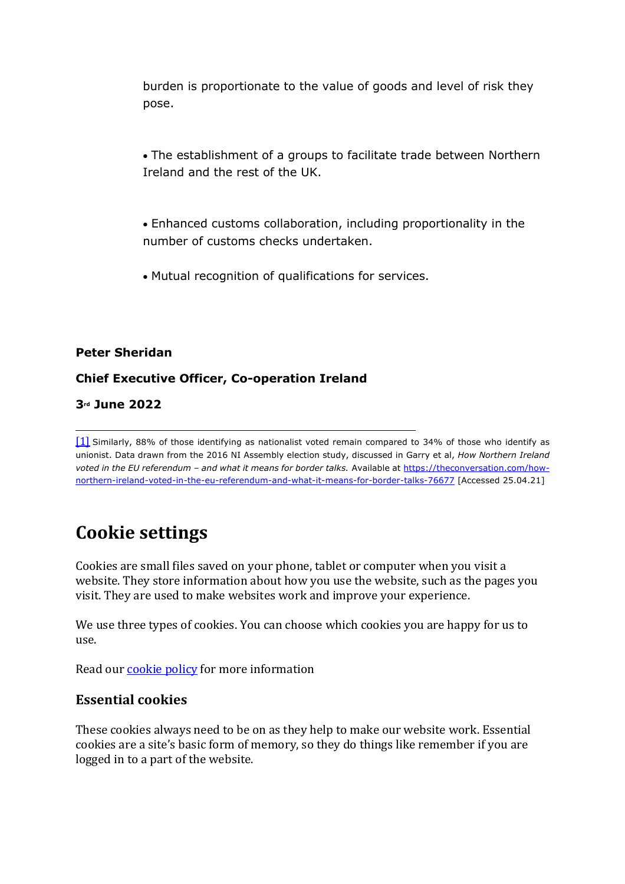burden is proportionate to the value of goods and level of risk they pose.

- The establishment of a groups to facilitate trade between Northern Ireland and the rest of the UK.
- Enhanced customs collaboration, including proportionality in the number of customs checks undertaken.
- Mutual recognition of qualifications for services.

#### **Peter Sheridan**

#### **Chief Executive Officer, Co-operation Ireland**

#### **3rd June 2022**

[1] Similarly, 88% of those identifying as nationalist voted remain compared to 34% of those who identify as unionist. Data drawn from the 2016 NI Assembly election study, discussed in Garry et al, *How Northern Ireland voted in the EU referendum – and what it means for border talks.* Available at https://theconversation.com/hownorthern-ireland-voted-in-the-eu-referendum-and-what-it-means-for-border-talks-76677 [Accessed 25.04.21]

# **Cookie settings**

Cookies are small files saved on your phone, tablet or computer when you visit a website. They store information about how you use the website, such as the pages you visit. They are used to make websites work and improve your experience.

We use three types of cookies. You can choose which cookies you are happy for us to use.

Read our **cookie** policy for more information

#### **Essential cookies**

These cookies always need to be on as they help to make our website work. Essential cookies are a site's basic form of memory, so they do things like remember if you are logged in to a part of the website.